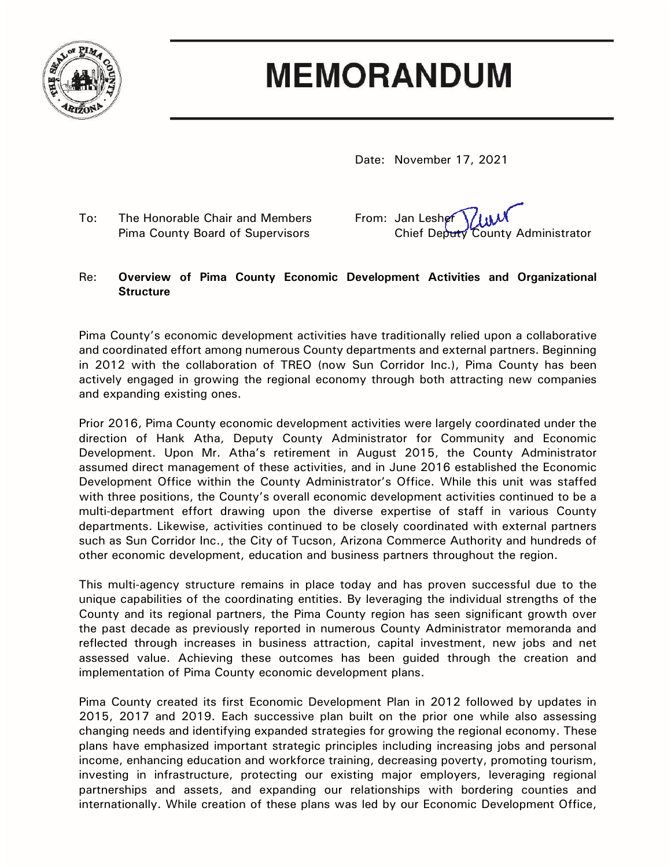

## **MEMORANDUM**

Date: November 17, 2021

To: The Honorable Chair and Members From: Jan Lesher

Pima County Board of Supervisors Chief Deputy County Administrator

## Re: **Overview of Pima County Economic Development Activities and Organizational Structure**

Pima County's economic development activities have traditionally relied upon a collaborative and coordinated effort among numerous County departments and external partners. Beginning in 2012 with the collaboration of TREO (now Sun Corridor Inc.), Pima County has been actively engaged in growing the regional economy through both attracting new companies and expanding existing ones.

Prior 2016, Pima County economic development activities were largely coordinated under the direction of Hank Atha, Deputy County Administrator for Community and Economic Development. Upon Mr. Atha's retirement in August 2015, the County Administrator assumed direct management of these activities, and in June 2016 established the Economic Development Office within the County Administrator's Office. While this unit was staffed with three positions, the County's overall economic development activities continued to be a multi-department effort drawing upon the diverse expertise of staff in various County departments. Likewise, activities continued to be closely coordinated with external partners such as Sun Corridor Inc., the City of Tucson, Arizona Commerce Authority and hundreds of other economic development, education and business partners throughout the region.

This multi-agency structure remains in place today and has proven successful due to the unique capabilities of the coordinating entities. By leveraging the individual strengths of the County and its regional partners, the Pima County region has seen significant growth over the past decade as previously reported in numerous County Administrator memoranda and reflected through increases in business attraction, capital investment, new jobs and net assessed value. Achieving these outcomes has been guided through the creation and implementation of Pima County economic development plans.

Pima County created its first Economic Development Plan in 2012 followed by updates in 2015, 2017 and 2019. Each successive plan built on the prior one while also assessing changing needs and identifying expanded strategies for growing the regional economy. These plans have emphasized important strategic principles including increasing jobs and personal income, enhancing education and workforce training, decreasing poverty, promoting tourism, investing in infrastructure, protecting our existing major employers, leveraging regional partnerships and assets, and expanding our relationships with bordering counties and internationally. While creation of these plans was led by our Economic Development Office,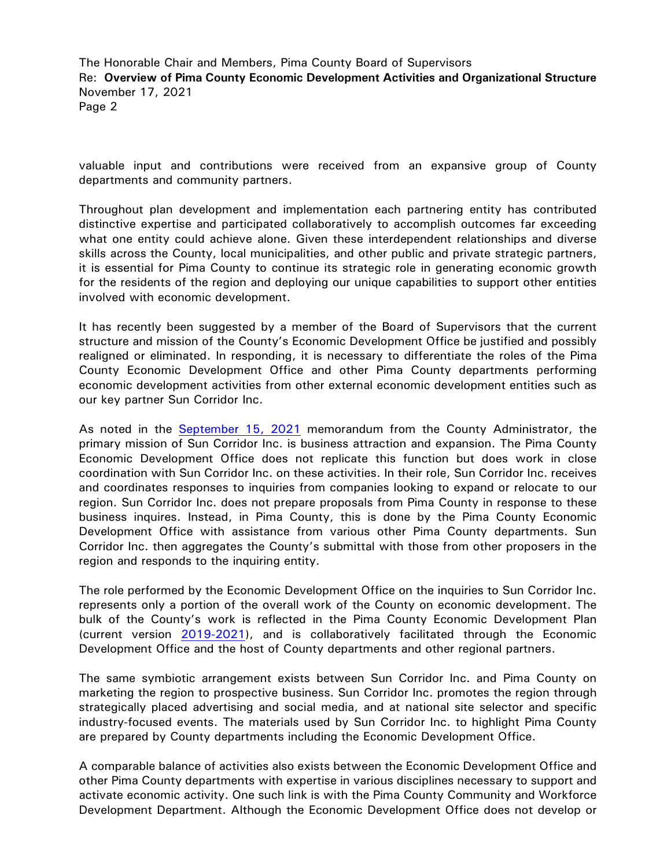The Honorable Chair and Members, Pima County Board of Supervisors Re: **Overview of Pima County Economic Development Activities and Organizational Structure** November 17, 2021 Page 2

valuable input and contributions were received from an expansive group of County departments and community partners.

Throughout plan development and implementation each partnering entity has contributed distinctive expertise and participated collaboratively to accomplish outcomes far exceeding what one entity could achieve alone. Given these interdependent relationships and diverse skills across the County, local municipalities, and other public and private strategic partners, it is essential for Pima County to continue its strategic role in generating economic growth for the residents of the region and deploying our unique capabilities to support other entities involved with economic development.

It has recently been suggested by a member of the Board of Supervisors that the current structure and mission of the County's Economic Development Office be justified and possibly realigned or eliminated. In responding, it is necessary to differentiate the roles of the Pima County Economic Development Office and other Pima County departments performing economic development activities from other external economic development entities such as our key partner Sun Corridor Inc.

As noted in the [September 15, 2021](https://webcms.pima.gov/UserFiles/Servers/Server_6/File/Government/Administration/CHHmemosFor%20Web/2021/September/September%2015,%202021%20-%20Sun%20Corridor%20Inc.%20Information%20Request.pdf) memorandum from the County Administrator, the primary mission of Sun Corridor Inc. is business attraction and expansion. The Pima County Economic Development Office does not replicate this function but does work in close coordination with Sun Corridor Inc. on these activities. In their role, Sun Corridor Inc. receives and coordinates responses to inquiries from companies looking to expand or relocate to our region. Sun Corridor Inc. does not prepare proposals from Pima County in response to these business inquires. Instead, in Pima County, this is done by the Pima County Economic Development Office with assistance from various other Pima County departments. Sun Corridor Inc. then aggregates the County's submittal with those from other proposers in the region and responds to the inquiring entity.

The role performed by the Economic Development Office on the inquiries to Sun Corridor Inc. represents only a portion of the overall work of the County on economic development. The bulk of the County's work is reflected in the Pima County Economic Development Plan (current version [2019-2021\)](https://webcms.pima.gov/UserFiles/Servers/Server_6/File/Government/Economic%20Development/2019%20Economic%20Development%20Plan.pdf), and is collaboratively facilitated through the Economic Development Office and the host of County departments and other regional partners.

The same symbiotic arrangement exists between Sun Corridor Inc. and Pima County on marketing the region to prospective business. Sun Corridor Inc. promotes the region through strategically placed advertising and social media, and at national site selector and specific industry-focused events. The materials used by Sun Corridor Inc. to highlight Pima County are prepared by County departments including the Economic Development Office.

A comparable balance of activities also exists between the Economic Development Office and other Pima County departments with expertise in various disciplines necessary to support and activate economic activity. One such link is with the Pima County Community and Workforce Development Department. Although the Economic Development Office does not develop or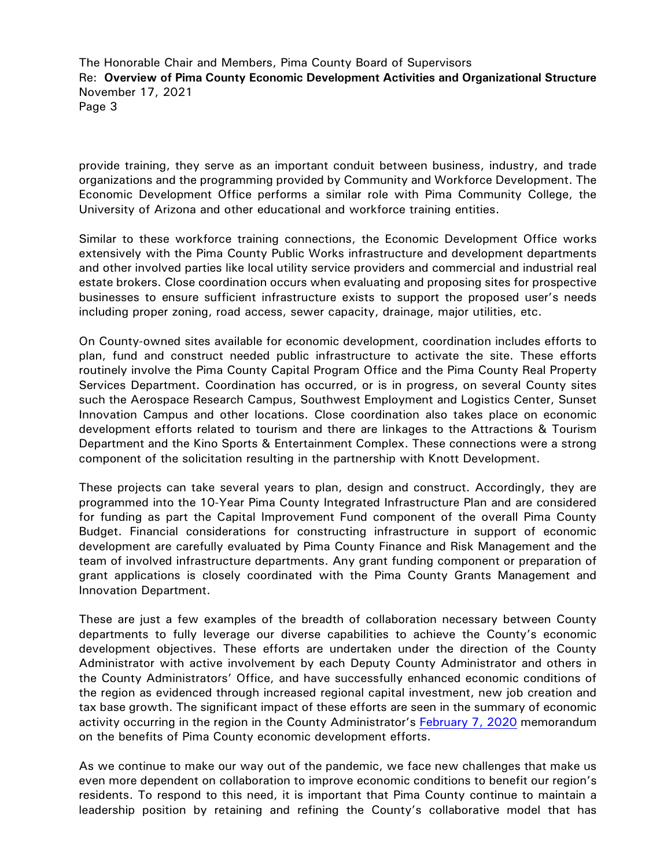The Honorable Chair and Members, Pima County Board of Supervisors Re: **Overview of Pima County Economic Development Activities and Organizational Structure** November 17, 2021 Page 3

provide training, they serve as an important conduit between business, industry, and trade organizations and the programming provided by Community and Workforce Development. The Economic Development Office performs a similar role with Pima Community College, the University of Arizona and other educational and workforce training entities.

Similar to these workforce training connections, the Economic Development Office works extensively with the Pima County Public Works infrastructure and development departments and other involved parties like local utility service providers and commercial and industrial real estate brokers. Close coordination occurs when evaluating and proposing sites for prospective businesses to ensure sufficient infrastructure exists to support the proposed user's needs including proper zoning, road access, sewer capacity, drainage, major utilities, etc.

On County-owned sites available for economic development, coordination includes efforts to plan, fund and construct needed public infrastructure to activate the site. These efforts routinely involve the Pima County Capital Program Office and the Pima County Real Property Services Department. Coordination has occurred, or is in progress, on several County sites such the Aerospace Research Campus, Southwest Employment and Logistics Center, Sunset Innovation Campus and other locations. Close coordination also takes place on economic development efforts related to tourism and there are linkages to the Attractions & Tourism Department and the Kino Sports & Entertainment Complex. These connections were a strong component of the solicitation resulting in the partnership with Knott Development.

These projects can take several years to plan, design and construct. Accordingly, they are programmed into the 10-Year Pima County Integrated Infrastructure Plan and are considered for funding as part the Capital Improvement Fund component of the overall Pima County Budget. Financial considerations for constructing infrastructure in support of economic development are carefully evaluated by Pima County Finance and Risk Management and the team of involved infrastructure departments. Any grant funding component or preparation of grant applications is closely coordinated with the Pima County Grants Management and Innovation Department.

These are just a few examples of the breadth of collaboration necessary between County departments to fully leverage our diverse capabilities to achieve the County's economic development objectives. These efforts are undertaken under the direction of the County Administrator with active involvement by each Deputy County Administrator and others in the County Administrators' Office, and have successfully enhanced economic conditions of the region as evidenced through increased regional capital investment, new job creation and tax base growth. The significant impact of these efforts are seen in the summary of economic activity occurring in the region in the County Administrator's [February 7, 2020](https://webcms.pima.gov/UserFiles/Servers/Server_6/File/Government/Administration/CHHmemosFor%20Web/2020/February/Benefits%20of%20Pima%20County%20Economic%20Development%20Efforts.pdf) memorandum on the benefits of Pima County economic development efforts.

As we continue to make our way out of the pandemic, we face new challenges that make us even more dependent on collaboration to improve economic conditions to benefit our region's residents. To respond to this need, it is important that Pima County continue to maintain a leadership position by retaining and refining the County's collaborative model that has